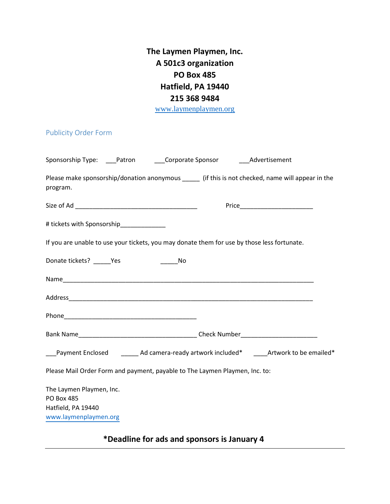**The Laymen Playmen, Inc. A 501c3 organization PO Box 485 Hatfield, PA 19440 215 368 9484**

www.laymenplaymen.org

## Publicity Order Form

| Please make sponsorship/donation anonymous _____ (if this is not checked, name will appear in the<br>program. |
|---------------------------------------------------------------------------------------------------------------|
|                                                                                                               |
| # tickets with Sponsorship_____________                                                                       |
| If you are unable to use your tickets, you may donate them for use by those less fortunate.                   |
| Donate tickets? _______ Yes                                                                                   |
|                                                                                                               |
|                                                                                                               |
|                                                                                                               |
|                                                                                                               |
| ___Payment Enclosed _________ Ad camera-ready artwork included* ______Artwork to be emailed*                  |
| Please Mail Order Form and payment, payable to The Laymen Playmen, Inc. to:                                   |
| The Laymen Playmen, Inc.<br><b>PO Box 485</b><br>Hatfield, PA 19440<br>www.laymenplaymen.org                  |

## **\*Deadline for ads and sponsors is January 4**